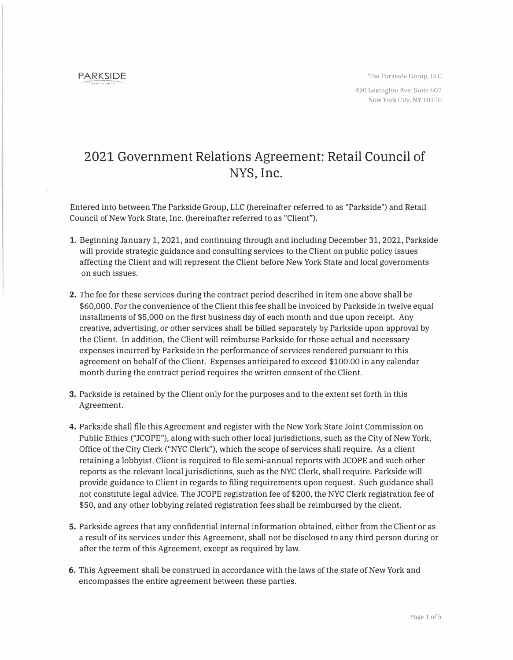**PARKSIDE** 

The Parkside Group, LLC 420 Lexington Ave. Suite 607 New York City, NY 10170

## **2021 Government Relations Agreement: Retail Council of NYS, Inc.**

Entered into between The Parkside Group, LLC (hereinafter referred to as "Parkside") and Retail Council of New York State, Inc. (hereinafter referred to as "Client").

- 1. Beginning January 1, 2021, and continuing through and including December 31, 2021, Parkside will provide strategic guidance and consulting services to the Client on public policy issues affecting the Client and will represent the Client before New York State and local governments on such issues.
- **2.** The fee for these services during the contract period described in item one above shall be \$60,000. For the convenience of the Client this fee shall be invoiced by Parkside in twelve equal installments of \$5,000 on the first business day of each month and due upon receipt. Any creative, advertising, or other services shall be billed separately by Parkside upon approval by the Client. In addition, the Client will reimburse Parkside for those actual and necessary expenses incurred by Parkside in the performance of services rendered pursuant to this agreement on behalf of the Client. Expenses anticipated to exceed \$100.00 in any calendar month during the contract period requires the written consent of the Client.
- **3.** Parkside is retained by the Client only for the purposes and to the extent set forth in this Agreement.
- **4.** Parkside shall file this Agreement and register with the New York State Joint Commission on Public Ethics ("JCOPE"), along with such other local jurisdictions, such as the City of New York, Office of the City Clerk ("NYC Clerk"), which the scope of services shall require. As a client retaining a lobbyist, Client is required to file semi-annual reports with JCOPE and such other reports as the relevant local jurisdictions, such as the NYC Clerk, shall require. Parkside will provide guidance to Client in regards to filing requirements upon request. Such guidance shall not constitute legal advice. The JCOPE registration fee of \$200, the NYC Clerk registration fee of \$50, and any other lobbying related registration fees shall be reimbursed by the client.
- **5.** Parkside agrees that any confidential internal information obtained, either from the Client or as a result of its services under this Agreement, shall not be disclosed to any third person during or after the term of this Agreement, except as required by law.
- **6.** This Agreement shall be construed in accordance with the laws of the state of New York and encompasses the entire agreement between these parties.